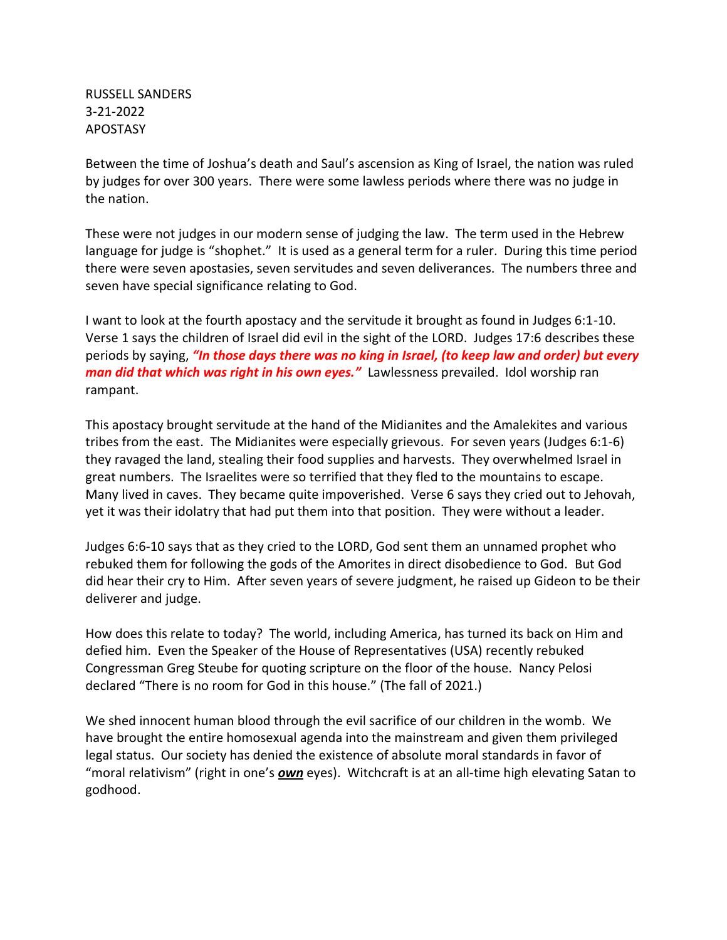RUSSELL SANDERS 3-21-2022 APOSTASY

Between the time of Joshua's death and Saul's ascension as King of Israel, the nation was ruled by judges for over 300 years. There were some lawless periods where there was no judge in the nation.

These were not judges in our modern sense of judging the law. The term used in the Hebrew language for judge is "shophet." It is used as a general term for a ruler. During this time period there were seven apostasies, seven servitudes and seven deliverances. The numbers three and seven have special significance relating to God.

I want to look at the fourth apostacy and the servitude it brought as found in Judges 6:1-10. Verse 1 says the children of Israel did evil in the sight of the LORD. Judges 17:6 describes these periods by saying, *"In those days there was no king in Israel, (to keep law and order) but every man did that which was right in his own eyes."* Lawlessness prevailed. Idol worship ran rampant.

This apostacy brought servitude at the hand of the Midianites and the Amalekites and various tribes from the east. The Midianites were especially grievous. For seven years (Judges 6:1-6) they ravaged the land, stealing their food supplies and harvests. They overwhelmed Israel in great numbers. The Israelites were so terrified that they fled to the mountains to escape. Many lived in caves. They became quite impoverished. Verse 6 says they cried out to Jehovah, yet it was their idolatry that had put them into that position. They were without a leader.

Judges 6:6-10 says that as they cried to the LORD, God sent them an unnamed prophet who rebuked them for following the gods of the Amorites in direct disobedience to God. But God did hear their cry to Him. After seven years of severe judgment, he raised up Gideon to be their deliverer and judge.

How does this relate to today? The world, including America, has turned its back on Him and defied him. Even the Speaker of the House of Representatives (USA) recently rebuked Congressman Greg Steube for quoting scripture on the floor of the house. Nancy Pelosi declared "There is no room for God in this house." (The fall of 2021.)

We shed innocent human blood through the evil sacrifice of our children in the womb. We have brought the entire homosexual agenda into the mainstream and given them privileged legal status. Our society has denied the existence of absolute moral standards in favor of "moral relativism" (right in one's *own* eyes). Witchcraft is at an all-time high elevating Satan to godhood.